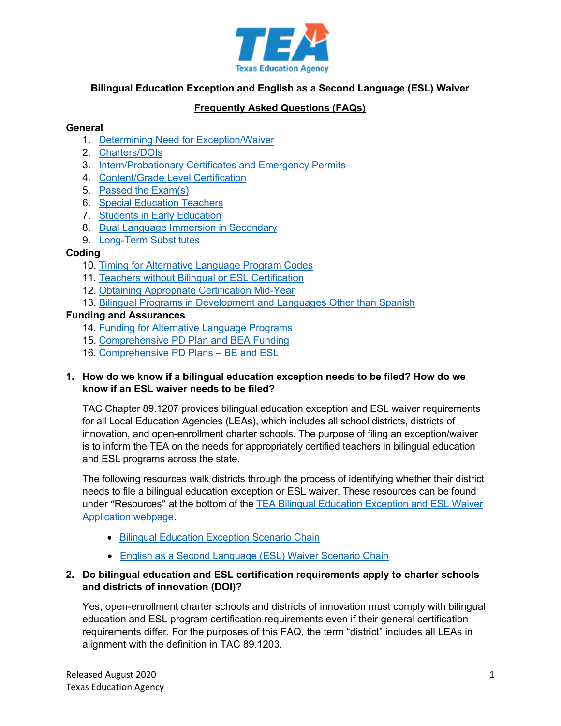

## **Bilingual Education Exception and English as a Second Language (ESL) Waiver**

# **Frequently Asked Questions (FAQs)**

#### **General**

- 1. Determining Need [for Exception/Waiver](#page-0-0)
- 2. [Charters/DOIs](#page-0-1)
- 3. [Intern/Probationary Certificates and Emergency Permits](#page-1-0)
- 4. [Content/Grade Level Certification](#page-1-1)
- 5. Passed [the Exam\(s\)](#page-1-2)
- 6. [Special Education Teachers](#page-1-3)
- 7. [Students in Early Education](#page-2-0)
- 8. [Dual Language Immersion in Secondary](#page-2-1)
- 9. [Long-Term Substitutes](#page-2-2)

#### **Coding**

- 10. [Timing for Alternative Language Program Codes](#page-2-3)
- 11. [Teachers without Bilingual or ESL Certification](#page-3-0)
- 12. [Obtaining Appropriate Certification Mid-Year](#page-3-1)
- 13. [Bilingual Programs in Development and Languages Other than Spanish](#page-4-0)

### **Funding and Assurances**

- 14. [Funding for Alternative Language Programs](#page-5-0)
- 15. [Comprehensive PD Plan and BEA Funding](#page-6-0)
- 16. [Comprehensive PD Plans –](#page-6-1) BE and ESL

#### <span id="page-0-0"></span>**1. How do we know if a bilingual education exception needs to be filed? How do we know if an ESL waiver needs to be filed?**

TAC Chapter 89.1207 provides bilingual education exception and ESL waiver requirements for all Local Education Agencies (LEAs), which includes all school districts, districts of innovation, and open-enrollment charter schools. The purpose of filing an exception/waiver is to inform the TEA on the needs for appropriately certified teachers in bilingual education and ESL programs across the state.

The following resources walk districts through the process of identifying whether their district needs to file a bilingual education exception or ESL waiver. These resources can be found under "Resources" at the bottom of the [TEA Bilingual Education Exception and ESL Waiver](https://tea.texas.gov/Academics/Special_Student_Populations/Bilingual_ESL_Education/Bilingual_Education_Exception_and_ESL_Waiver_Resources/)  [Application webpage.](https://tea.texas.gov/Academics/Special_Student_Populations/Bilingual_ESL_Education/Bilingual_Education_Exception_and_ESL_Waiver_Resources/)

- [Bilingual Education Exception Scenario Chain](https://tea.texas.gov/sites/default/files/Bilingual%20Education%20Exception%20Scenario%20Chain%202019-2020%20update.pdf)
- [English as a Second Language \(ESL\) Waiver Scenario Chain](https://tea.texas.gov/sites/default/files/ESL%20Waiver%20Scenario%20Chain%202019_2020%20update.pdf)

### <span id="page-0-1"></span>**2. Do bilingual education and ESL certification requirements apply to charter schools and districts of innovation (DOI)?**

Yes, open-enrollment charter schools and districts of innovation must comply with bilingual education and ESL program certification requirements even if their general certification requirements differ. For the purposes of this FAQ, the term "district" includes all LEAs in alignment with the definition in TAC 89.1203.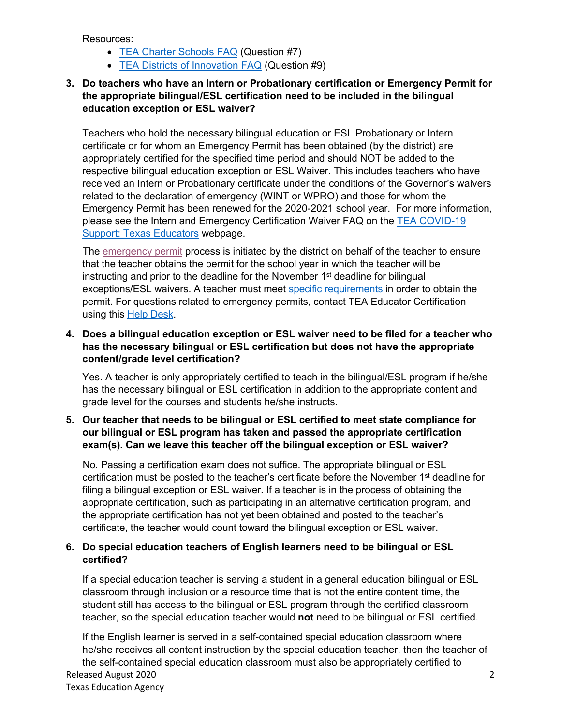Resources:

- [TEA Charter Schools FAQ](https://tea.texas.gov/Texas_Schools/Texas_Schools_-_Charter_Schools/Charter_Schools_-_FAQs/#Q9) (Question #7)
- [TEA Districts of Innovation FAQ](https://tea.texas.gov/WorkArea/linkit.aspx?LinkIdentifier=id&ItemID=51539622008&libID=51539622008) (Question #9)
- <span id="page-1-0"></span>**3. Do teachers who have an Intern or Probationary certification or Emergency Permit for the appropriate bilingual/ESL certification need to be included in the bilingual education exception or ESL waiver?**

Teachers who hold the necessary bilingual education or ESL Probationary or Intern certificate or for whom an Emergency Permit has been obtained (by the district) are appropriately certified for the specified time period and should NOT be added to the respective bilingual education exception or ESL Waiver. This includes teachers who have received an Intern or Probationary certificate under the conditions of the Governor's waivers related to the declaration of emergency (WINT or WPRO) and those for whom the Emergency Permit has been renewed for the 2020-2021 school year. For more information, please see the Intern and Emergency Certification Waiver FAQ on the [TEA COVID-19](https://tea.texas.gov/texas-schools/health-safety-discipline/covid/covid-19-support-texas-educators)  [Support: Texas Educators](https://tea.texas.gov/texas-schools/health-safety-discipline/covid/covid-19-support-texas-educators) webpage.

The [emergency permit](https://tea.texas.gov/Texas_Educators/Certification/School_District_Teaching_Permits/) process is initiated by the district on behalf of the teacher to ensure that the teacher obtains the permit for the school year in which the teacher will be instructing and prior to the deadline for the November 1<sup>st</sup> deadline for bilingual exceptions/ESL waivers. A teacher must meet [specific requirements](https://tea.texas.gov/Texas_Educators/Certification/School_District_Teaching_Permit_FAQ_s/) in order to obtain the permit. For questions related to emergency permits, contact TEA Educator Certification using this [Help Desk.](https://helpdesk.tea.texas.gov/hc/en-us/requests/new?ticket_form_id=354508)

### <span id="page-1-1"></span>**4. Does a bilingual education exception or ESL waiver need to be filed for a teacher who has the necessary bilingual or ESL certification but does not have the appropriate content/grade level certification?**

Yes. A teacher is only appropriately certified to teach in the bilingual/ESL program if he/she has the necessary bilingual or ESL certification in addition to the appropriate content and grade level for the courses and students he/she instructs.

### <span id="page-1-2"></span>**5. Our teacher that needs to be bilingual or ESL certified to meet state compliance for our bilingual or ESL program has taken and passed the appropriate certification exam(s). Can we leave this teacher off the bilingual exception or ESL waiver?**

No. Passing a certification exam does not suffice. The appropriate bilingual or ESL certification must be posted to the teacher's certificate before the November  $1<sup>st</sup>$  deadline for filing a bilingual exception or ESL waiver. If a teacher is in the process of obtaining the appropriate certification, such as participating in an alternative certification program, and the appropriate certification has not yet been obtained and posted to the teacher's certificate, the teacher would count toward the bilingual exception or ESL waiver.

### <span id="page-1-3"></span>**6. Do special education teachers of English learners need to be bilingual or ESL certified?**

If a special education teacher is serving a student in a general education bilingual or ESL classroom through inclusion or a resource time that is not the entire content time, the student still has access to the bilingual or ESL program through the certified classroom teacher, so the special education teacher would **not** need to be bilingual or ESL certified.

Released August 2020 2 Texas Education Agency If the English learner is served in a self-contained special education classroom where he/she receives all content instruction by the special education teacher, then the teacher of the self-contained special education classroom must also be appropriately certified to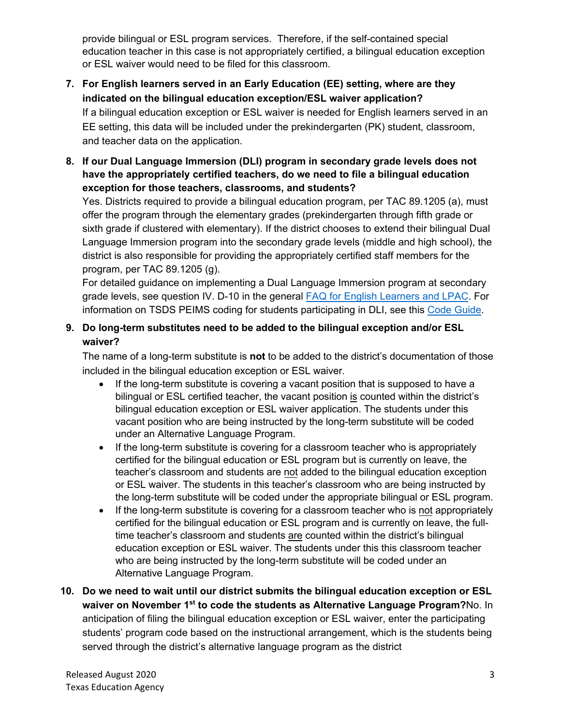provide bilingual or ESL program services. Therefore, if the self-contained special education teacher in this case is not appropriately certified, a bilingual education exception or ESL waiver would need to be filed for this classroom.

# <span id="page-2-0"></span>**7. For English learners served in an Early Education (EE) setting, where are they indicated on the bilingual education exception/ESL waiver application?**

If a bilingual education exception or ESL waiver is needed for English learners served in an EE setting, this data will be included under the prekindergarten (PK) student, classroom, and teacher data on the application.

<span id="page-2-1"></span>**8. If our Dual Language Immersion (DLI) program in secondary grade levels does not have the appropriately certified teachers, do we need to file a bilingual education exception for those teachers, classrooms, and students?**

Yes. Districts required to provide a bilingual education program, per TAC 89.1205 (a), must offer the program through the elementary grades (prekindergarten through fifth grade or sixth grade if clustered with elementary). If the district chooses to extend their bilingual Dual Language Immersion program into the secondary grade levels (middle and high school), the district is also responsible for providing the appropriately certified staff members for the program, per TAC 89.1205 (g).

For detailed guidance on implementing a Dual Language Immersion program at secondary grade levels, see question IV. D-10 in the general [FAQ for English Learners](https://tea.texas.gov/sites/default/files/English%20Learner%20-%20LPAC%20FAQ.pdf) and LPAC. For information on TSDS PEIMS coding for students participating in DLI, see this [Code Guide.](https://tea.texas.gov/sites/default/files/PEIMS%20Updated%20EL%20Code%20Associations%20Chart%20July%202020.pdf)

# <span id="page-2-2"></span>**9. Do long-term substitutes need to be added to the bilingual exception and/or ESL waiver?**

The name of a long-term substitute is **not** to be added to the district's documentation of those included in the bilingual education exception or ESL waiver.

- If the long-term substitute is covering a vacant position that is supposed to have a bilingual or ESL certified teacher, the vacant position is counted within the district's bilingual education exception or ESL waiver application. The students under this vacant position who are being instructed by the long-term substitute will be coded under an Alternative Language Program.
- If the long-term substitute is covering for a classroom teacher who is appropriately certified for the bilingual education or ESL program but is currently on leave, the teacher's classroom and students are not added to the bilingual education exception or ESL waiver. The students in this teacher's classroom who are being instructed by the long-term substitute will be coded under the appropriate bilingual or ESL program.
- If the long-term substitute is covering for a classroom teacher who is not appropriately certified for the bilingual education or ESL program and is currently on leave, the fulltime teacher's classroom and students are counted within the district's bilingual education exception or ESL waiver. The students under this this classroom teacher who are being instructed by the long-term substitute will be coded under an Alternative Language Program.
- <span id="page-2-3"></span>**10. Do we need to wait until our district submits the bilingual education exception or ESL waiver on November 1st to code the students as Alternative Language Program?**No. In anticipation of filing the bilingual education exception or ESL waiver, enter the participating students' program code based on the instructional arrangement, which is the students being served through the district's alternative language program as the district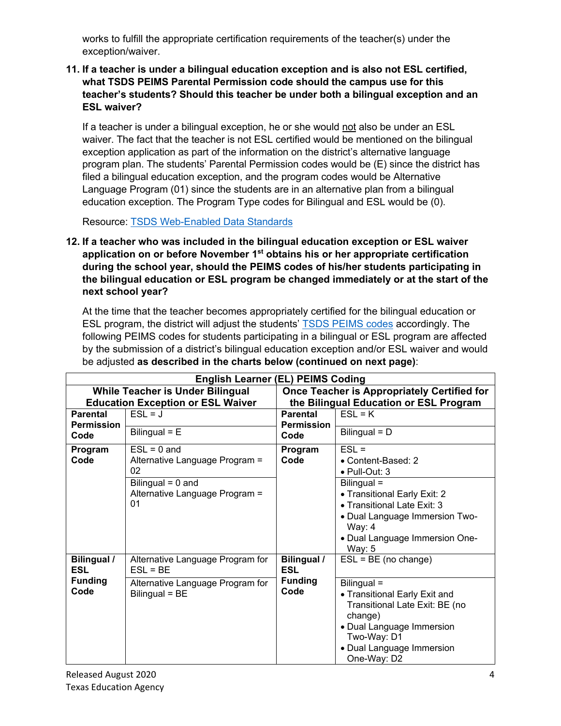works to fulfill the appropriate certification requirements of the teacher(s) under the exception/waiver.

## <span id="page-3-0"></span>**11. If a teacher is under a bilingual education exception and is also not ESL certified, what TSDS PEIMS Parental Permission code should the campus use for this teacher's students? Should this teacher be under both a bilingual exception and an ESL waiver?**

If a teacher is under a bilingual exception, he or she would not also be under an ESL waiver. The fact that the teacher is not ESL certified would be mentioned on the bilingual exception application as part of the information on the district's alternative language program plan. The students' Parental Permission codes would be (E) since the district has filed a bilingual education exception, and the program codes would be Alternative Language Program (01) since the students are in an alternative plan from a bilingual education exception. The Program Type codes for Bilingual and ESL would be (0).

Resource: [TSDS Web-Enabled Data Standards](https://tealprod.tea.state.tx.us/TWEDS/85/0/0/0/CodeTable/List/11330)

<span id="page-3-1"></span>**12. If a teacher who was included in the bilingual education exception or ESL waiver application on or before November 1st obtains his or her appropriate certification during the school year, should the PEIMS codes of his/her students participating in the bilingual education or ESL program be changed immediately or at the start of the next school year?**

At the time that the teacher becomes appropriately certified for the bilingual education or ESL program, the district will adjust the students' [TSDS PEIMS codes](https://tealprod.tea.state.tx.us/TWEDS/85/0/0/0/CodeTable/List/11330) accordingly. The following PEIMS codes for students participating in a bilingual or ESL program are affected by the submission of a district's bilingual education exception and/or ESL waiver and would be adjusted **as described in the charts below (continued on next page)**:

| <b>English Learner (EL) PEIMS Coding</b> |                                                             |                                                    |                                                                                                                                                                                   |  |  |  |  |
|------------------------------------------|-------------------------------------------------------------|----------------------------------------------------|-----------------------------------------------------------------------------------------------------------------------------------------------------------------------------------|--|--|--|--|
|                                          | <b>While Teacher is Under Bilingual</b>                     | <b>Once Teacher is Appropriately Certified for</b> |                                                                                                                                                                                   |  |  |  |  |
| <b>Education Exception or ESL Waiver</b> |                                                             | the Bilingual Education or ESL Program             |                                                                                                                                                                                   |  |  |  |  |
| <b>Parental</b><br><b>Permission</b>     | $ESL = J$                                                   | <b>Parental</b><br><b>Permission</b>               | $ESL = K$                                                                                                                                                                         |  |  |  |  |
| Code                                     | Bilingual $= E$                                             | Code                                               | Bilingual = D                                                                                                                                                                     |  |  |  |  |
| Program<br>Code                          | $ESL = 0$ and<br>Alternative Language Program =<br>02       | Program<br>Code                                    | $ESL =$<br>• Content-Based: 2<br>· Pull-Out: 3                                                                                                                                    |  |  |  |  |
|                                          | Bilingual = $0$ and<br>Alternative Language Program =<br>01 |                                                    | Bilingual =<br>• Transitional Early Exit: 2<br>• Transitional Late Exit: 3<br>• Dual Language Immersion Two-<br>Way: $4$<br>• Dual Language Immersion One-<br>Way: 5              |  |  |  |  |
| <b>Bilingual /</b><br><b>ESL</b>         | Alternative Language Program for<br>$ESL = BE$              | <b>Bilingual /</b><br><b>ESL</b>                   | $ESL = BE$ (no change)                                                                                                                                                            |  |  |  |  |
| <b>Funding</b><br>Code                   | Alternative Language Program for<br>Bilingual = BE          | <b>Funding</b><br>Code                             | Bilingual =<br>• Transitional Early Exit and<br>Transitional Late Exit: BE (no<br>change)<br>• Dual Language Immersion<br>Two-Way: D1<br>• Dual Language Immersion<br>One-Way: D2 |  |  |  |  |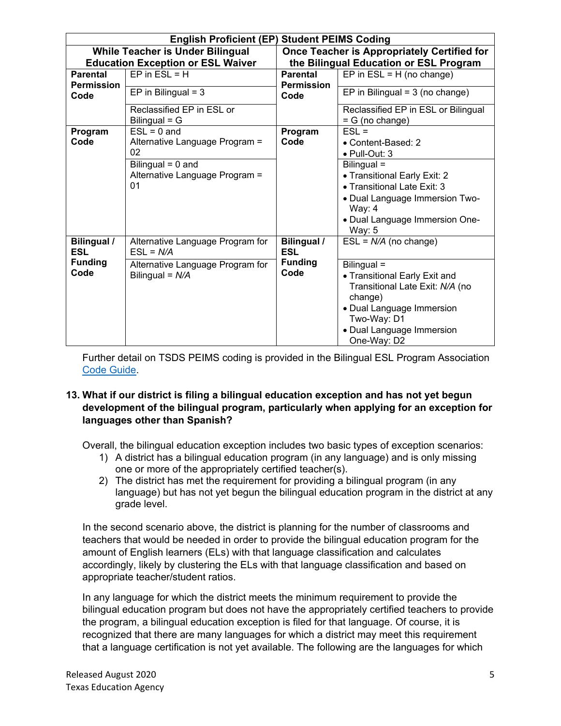| <b>English Proficient (EP) Student PEIMS Coding</b> |                                                             |                                                    |                                                                                                                                                                                    |  |  |  |
|-----------------------------------------------------|-------------------------------------------------------------|----------------------------------------------------|------------------------------------------------------------------------------------------------------------------------------------------------------------------------------------|--|--|--|
| <b>While Teacher is Under Bilingual</b>             |                                                             | <b>Once Teacher is Appropriately Certified for</b> |                                                                                                                                                                                    |  |  |  |
| <b>Education Exception or ESL Waiver</b>            |                                                             | the Bilingual Education or ESL Program             |                                                                                                                                                                                    |  |  |  |
| <b>Parental</b>                                     | $EP$ in $ESL = H$                                           | <b>Parental</b>                                    | EP in $ESL = H$ (no change)                                                                                                                                                        |  |  |  |
| <b>Permission</b><br>Code                           | EP in Bilingual = $3$                                       | <b>Permission</b><br>Code                          | EP in Bilingual = $3$ (no change)                                                                                                                                                  |  |  |  |
|                                                     | Reclassified EP in ESL or<br>Bilingual $= G$                |                                                    | Reclassified EP in ESL or Bilingual<br>$= G$ (no change)                                                                                                                           |  |  |  |
| Program<br>Code                                     | $ESL = 0$ and<br>Alternative Language Program =<br>02       | Program<br>Code                                    | $ESL =$<br>• Content-Based: 2<br>$\bullet$ Pull-Out: 3                                                                                                                             |  |  |  |
|                                                     | Bilingual $= 0$ and<br>Alternative Language Program =<br>01 |                                                    | Bilingual =<br>• Transitional Early Exit: 2<br>• Transitional Late Exit: 3<br>• Dual Language Immersion Two-<br>Way: $4$<br>• Dual Language Immersion One-<br>Way: $5$             |  |  |  |
| <b>Bilingual /</b><br><b>ESL</b>                    | Alternative Language Program for<br>$ESL = N/A$             | Bilingual /<br><b>ESL</b>                          | $ESL = N/A$ (no change)                                                                                                                                                            |  |  |  |
| <b>Funding</b><br>Code                              | Alternative Language Program for<br>Bilingual = $N/A$       | <b>Funding</b><br>Code                             | Bilingual =<br>• Transitional Early Exit and<br>Transitional Late Exit: N/A (no<br>change)<br>• Dual Language Immersion<br>Two-Way: D1<br>• Dual Language Immersion<br>One-Way: D2 |  |  |  |

Further detail on TSDS PEIMS coding is provided in the Bilingual ESL Program Association [Code Guide.](https://tea.texas.gov/sites/default/files/PEIMS%20Updated%20EL%20Code%20Associations%20Chart%20July%202020.pdf)

### <span id="page-4-0"></span>**13. What if our district is filing a bilingual education exception and has not yet begun development of the bilingual program, particularly when applying for an exception for languages other than Spanish?**

Overall, the bilingual education exception includes two basic types of exception scenarios:

- 1) A district has a bilingual education program (in any language) and is only missing one or more of the appropriately certified teacher(s).
- 2) The district has met the requirement for providing a bilingual program (in any language) but has not yet begun the bilingual education program in the district at any grade level.

In the second scenario above, the district is planning for the number of classrooms and teachers that would be needed in order to provide the bilingual education program for the amount of English learners (ELs) with that language classification and calculates accordingly, likely by clustering the ELs with that language classification and based on appropriate teacher/student ratios.

In any language for which the district meets the minimum requirement to provide the bilingual education program but does not have the appropriately certified teachers to provide the program, a bilingual education exception is filed for that language. Of course, it is recognized that there are many languages for which a district may meet this requirement that a language certification is not yet available. The following are the languages for which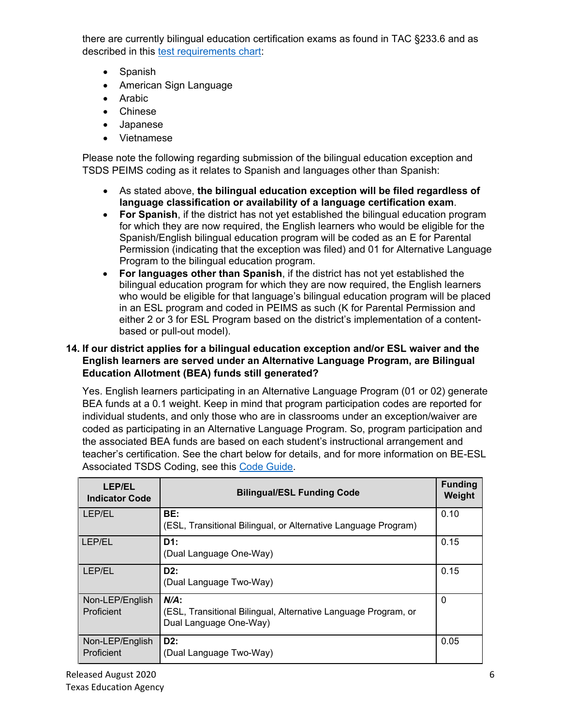there are currently bilingual education certification exams as found in TAC §233.6 and as described in this [test requirements chart:](http://ritter.tea.state.tx.us/sbecrules/tac/chapter230/19_0230_0021-1.pdf)

- Spanish
- American Sign Language
- Arabic
- Chinese
- Japanese
- Vietnamese

Please note the following regarding submission of the bilingual education exception and TSDS PEIMS coding as it relates to Spanish and languages other than Spanish:

- As stated above, **the bilingual education exception will be filed regardless of language classification or availability of a language certification exam**.
- **For Spanish**, if the district has not yet established the bilingual education program for which they are now required, the English learners who would be eligible for the Spanish/English bilingual education program will be coded as an E for Parental Permission (indicating that the exception was filed) and 01 for Alternative Language Program to the bilingual education program.
- **For languages other than Spanish**, if the district has not yet established the bilingual education program for which they are now required, the English learners who would be eligible for that language's bilingual education program will be placed in an ESL program and coded in PEIMS as such (K for Parental Permission and either 2 or 3 for ESL Program based on the district's implementation of a contentbased or pull-out model).

## <span id="page-5-0"></span>**14. If our district applies for a bilingual education exception and/or ESL waiver and the English learners are served under an Alternative Language Program, are Bilingual Education Allotment (BEA) funds still generated?**

Yes. English learners participating in an Alternative Language Program (01 or 02) generate BEA funds at a 0.1 weight. Keep in mind that program participation codes are reported for individual students, and only those who are in classrooms under an exception/waiver are coded as participating in an Alternative Language Program. So, program participation and the associated BEA funds are based on each student's instructional arrangement and teacher's certification. See the chart below for details, and for more information on BE-ESL Associated TSDS Coding, see this [Code Guide.](https://tea.texas.gov/sites/default/files/PEIMS%20Updated%20EL%20Code%20Associations%20Chart%20July%202020.pdf)

| <b>LEP/EL</b><br><b>Indicator Code</b> | <b>Bilingual/ESL Funding Code</b>                                                                   | <b>Funding</b><br>Weight |
|----------------------------------------|-----------------------------------------------------------------------------------------------------|--------------------------|
| <b>LEP/EL</b>                          | BE:<br>(ESL, Transitional Bilingual, or Alternative Language Program)                               | 0.10                     |
| LEP/EL                                 | D1:<br>(Dual Language One-Way)                                                                      | 0.15                     |
| LEP/EL                                 | D2:<br>(Dual Language Two-Way)                                                                      | 0.15                     |
| Non-LEP/English<br>Proficient          | $N/A$ :<br>(ESL, Transitional Bilingual, Alternative Language Program, or<br>Dual Language One-Way) | $\mathbf{0}$             |
| Non-LEP/English<br>Proficient          | D2:<br>(Dual Language Two-Way)                                                                      | 0.05                     |